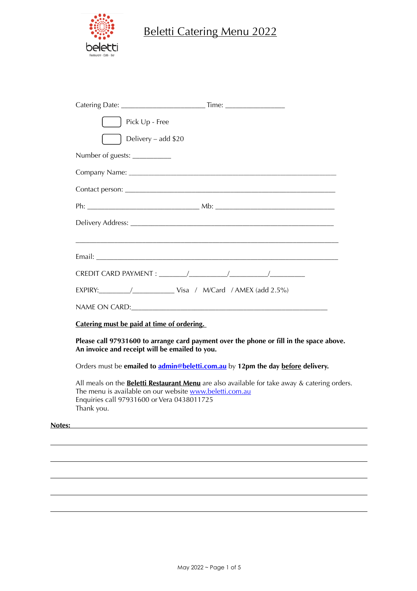

# Beletti Catering Menu 2022

|        | Pick Up - Free                                                                                                                                                                                                             |
|--------|----------------------------------------------------------------------------------------------------------------------------------------------------------------------------------------------------------------------------|
|        | Delivery - add \$20                                                                                                                                                                                                        |
|        | Number of guests: ___________                                                                                                                                                                                              |
|        |                                                                                                                                                                                                                            |
|        |                                                                                                                                                                                                                            |
|        |                                                                                                                                                                                                                            |
|        |                                                                                                                                                                                                                            |
|        |                                                                                                                                                                                                                            |
|        |                                                                                                                                                                                                                            |
|        |                                                                                                                                                                                                                            |
|        |                                                                                                                                                                                                                            |
|        |                                                                                                                                                                                                                            |
|        | Catering must be paid at time of ordering.                                                                                                                                                                                 |
|        | Please call 97931600 to arrange card payment over the phone or fill in the space above.<br>An invoice and receipt will be emailed to you.                                                                                  |
|        | Orders must be emailed to <i>admin@beletti.com.au</i> by 12pm the day before delivery.                                                                                                                                     |
|        | All meals on the <b>Beletti Restaurant Menu</b> are also available for take away & catering orders.<br>The menu is available on our website www.beletti.com.au<br>Enquiries call 97931600 or Vera 0438011725<br>Thank you. |
| Notes: |                                                                                                                                                                                                                            |
|        |                                                                                                                                                                                                                            |
|        |                                                                                                                                                                                                                            |
|        |                                                                                                                                                                                                                            |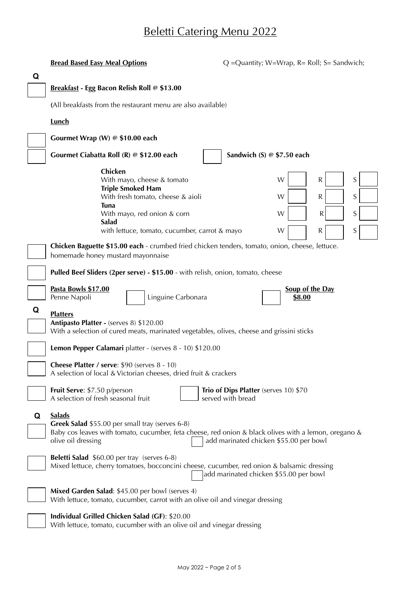|   | <b>Bread Based Easy Meal Options</b>                                                                                                                                                           | $Q =$ Quantity; W=Wrap, R= Roll; S= Sandwich;              |  |  |  |  |
|---|------------------------------------------------------------------------------------------------------------------------------------------------------------------------------------------------|------------------------------------------------------------|--|--|--|--|
| Q |                                                                                                                                                                                                |                                                            |  |  |  |  |
|   | Breakfast - Egg Bacon Relish Roll @ \$13.00                                                                                                                                                    |                                                            |  |  |  |  |
|   | (All breakfasts from the restaurant menu are also available)                                                                                                                                   |                                                            |  |  |  |  |
|   | <b>Lunch</b>                                                                                                                                                                                   |                                                            |  |  |  |  |
|   | Gourmet Wrap (W) @ \$10.00 each                                                                                                                                                                |                                                            |  |  |  |  |
|   | Gourmet Ciabatta Roll (R) @ \$12.00 each                                                                                                                                                       | Sandwich (S) @ \$7.50 each                                 |  |  |  |  |
|   | Chicken<br>With mayo, cheese & tomato                                                                                                                                                          | S<br>W<br>R                                                |  |  |  |  |
|   | <b>Triple Smoked Ham</b><br>With fresh tomato, cheese & aioli                                                                                                                                  | S<br>W<br>R                                                |  |  |  |  |
|   | <b>Tuna</b><br>With mayo, red onion & corn                                                                                                                                                     | S<br>W<br>R                                                |  |  |  |  |
|   | Salad<br>with lettuce, tomato, cucumber, carrot & mayo                                                                                                                                         | $\mathsf S$<br>W<br>${\sf R}$                              |  |  |  |  |
|   | Chicken Baguette \$15.00 each - crumbed fried chicken tenders, tomato, onion, cheese, lettuce.                                                                                                 |                                                            |  |  |  |  |
|   | homemade honey mustard mayonnaise                                                                                                                                                              |                                                            |  |  |  |  |
|   | Pulled Beef Sliders (2per serve) - \$15.00 - with relish, onion, tomato, cheese                                                                                                                |                                                            |  |  |  |  |
|   | Pasta Bowls \$17.00<br>Penne Napoli<br>Linguine Carbonara                                                                                                                                      | <b>Soup of the Day</b><br>\$8.00                           |  |  |  |  |
| Q | <b>Platters</b>                                                                                                                                                                                |                                                            |  |  |  |  |
|   | Antipasto Platter - (serves 8) \$120.00<br>With a selection of cured meats, marinated vegetables, olives, cheese and grissini sticks                                                           |                                                            |  |  |  |  |
|   | Lemon Pepper Calamari platter - (serves 8 - 10) \$120.00                                                                                                                                       |                                                            |  |  |  |  |
|   |                                                                                                                                                                                                |                                                            |  |  |  |  |
|   | Cheese Platter / serve: \$90 (serves 8 - 10)<br>A selection of local & Victorian cheeses, dried fruit & crackers                                                                               |                                                            |  |  |  |  |
|   | Fruit Serve: \$7.50 p/person<br>A selection of fresh seasonal fruit                                                                                                                            | Trio of Dips Platter (serves 10) \$70<br>served with bread |  |  |  |  |
| Q | <b>Salads</b><br>Greek Salad \$55.00 per small tray (serves 6-8)<br>Baby cos leaves with tomato, cucumber, feta cheese, red onion & black olives with a lemon, oregano &<br>olive oil dressing | add marinated chicken \$55.00 per bowl                     |  |  |  |  |
|   | <b>Beletti Salad</b> \$60.00 per tray (serves 6-8)<br>Mixed lettuce, cherry tomatoes, bocconcini cheese, cucumber, red onion & balsamic dressing                                               | add marinated chicken \$55.00 per bowl                     |  |  |  |  |
|   | Mixed Garden Salad: \$45.00 per bowl (serves 4)<br>With lettuce, tomato, cucumber, carrot with an olive oil and vinegar dressing                                                               |                                                            |  |  |  |  |
|   | Individual Grilled Chicken Salad (GF): \$20.00<br>With lettuce, tomato, cucumber with an olive oil and vinegar dressing                                                                        |                                                            |  |  |  |  |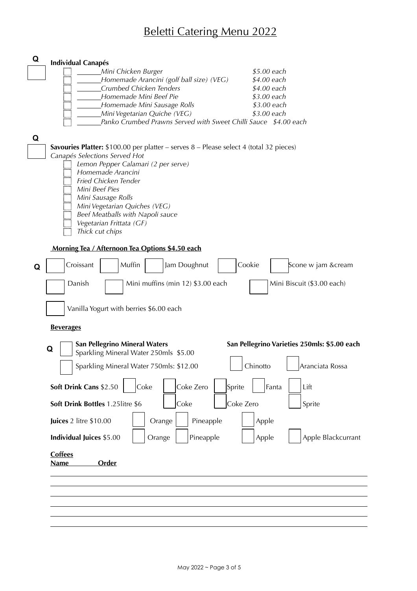| Q | <b>Individual Canapés</b>                                                                                                  |  |
|---|----------------------------------------------------------------------------------------------------------------------------|--|
|   | \$5.00 each<br>Mini Chicken Burger                                                                                         |  |
|   | Homemade Arancini (golf ball size) (VEG)<br>\$4.00 each                                                                    |  |
|   | Crumbed Chicken Tenders<br>\$4.00 each<br>Homemade Mini Beef Pie<br>\$3.00 each                                            |  |
|   | Homemade Mini Sausage Rolls<br>\$3.00 each                                                                                 |  |
|   | \$3.00 each<br>Mini Vegetarian Quiche (VEG)                                                                                |  |
|   | Panko Crumbed Prawns Served with Sweet Chilli Sauce \$4.00 each                                                            |  |
|   |                                                                                                                            |  |
| Q |                                                                                                                            |  |
|   | Savouries Platter: $$100.00$ per platter - serves $8$ - Please select 4 (total 32 pieces)<br>Canapés Selections Served Hot |  |
|   | Lemon Pepper Calamari (2 per serve)                                                                                        |  |
|   | Homemade Arancini                                                                                                          |  |
|   | Fried Chicken Tender                                                                                                       |  |
|   | Mini Beef Pies                                                                                                             |  |
|   | Mini Sausage Rolls                                                                                                         |  |
|   | Mini Vegetarian Quiches (VEG)<br>Beef Meatballs with Napoli sauce                                                          |  |
|   | Vegetarian Frittata (GF)                                                                                                   |  |
|   | Thick cut chips                                                                                                            |  |
|   |                                                                                                                            |  |
|   | Morning Tea / Afternoon Tea Options \$4.50 each                                                                            |  |
| Q | Croissant<br>Muffin<br>Cookie<br>Jam Doughnut<br>Scone w jam &cream                                                        |  |
|   | Danish<br>Mini muffins (min 12) \$3.00 each<br>Mini Biscuit (\$3.00 each)                                                  |  |
|   |                                                                                                                            |  |
|   | Vanilla Yogurt with berries \$6.00 each                                                                                    |  |
|   |                                                                                                                            |  |
|   | <b>Beverages</b>                                                                                                           |  |
|   | <b>San Pellegrino Mineral Waters</b><br>San Pellegrino Varieties 250mls: \$5.00 each                                       |  |
|   | Q<br>Sparkling Mineral Water 250mls \$5.00                                                                                 |  |
|   | Sparkling Mineral Water 750mls: \$12.00<br>Chinotto<br>Aranciata Rossa                                                     |  |
|   |                                                                                                                            |  |
|   | Soft Drink Cans \$2.50<br>Coke Zero<br>Fanta<br>Coke<br>Sprite<br>Lift                                                     |  |
|   |                                                                                                                            |  |
|   | Coke Zero<br>Soft Drink Bottles 1.25litre \$6<br>Coke<br>Sprite                                                            |  |
|   | Juices 2 litre \$10.00<br>Pineapple<br>Apple<br>Orange                                                                     |  |
|   | Individual Juices \$5.00<br>Orange<br>Pineapple<br>Apple Blackcurrant<br>Apple                                             |  |
|   |                                                                                                                            |  |
|   | <b>Coffees</b>                                                                                                             |  |
|   | Order<br><b>Name</b>                                                                                                       |  |
|   |                                                                                                                            |  |
|   |                                                                                                                            |  |
|   |                                                                                                                            |  |
|   |                                                                                                                            |  |
|   |                                                                                                                            |  |
|   |                                                                                                                            |  |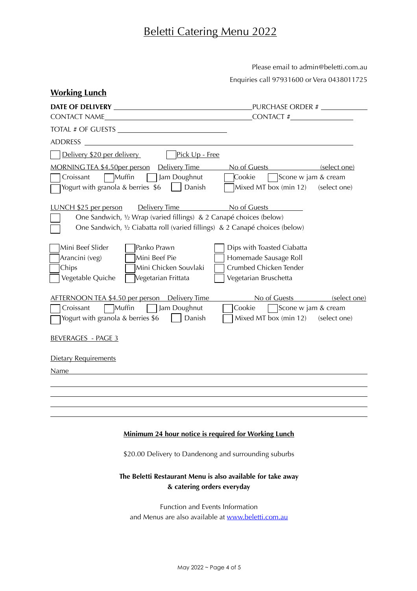Please email to admin@beletti.com.au

Enquiries call 97931600 or Vera 0438011725

| <b>Working Lunch</b>                                                                                                                                                                                       |                                                                                                          |  |  |  |
|------------------------------------------------------------------------------------------------------------------------------------------------------------------------------------------------------------|----------------------------------------------------------------------------------------------------------|--|--|--|
| PURCHASE ORDER # ___________                                                                                                                                                                               |                                                                                                          |  |  |  |
|                                                                                                                                                                                                            | $\begin{array}{c}\n\text{CONTACT} \# \underline{\hspace{1cm}}\end{array}$                                |  |  |  |
| TOTAL # OF GUESTS                                                                                                                                                                                          |                                                                                                          |  |  |  |
| <b>ADDRESS</b><br><u> 1989 - John Stein, Amerikaansk politiker (</u>                                                                                                                                       |                                                                                                          |  |  |  |
| Pick Up - Free<br>Delivery \$20 per delivery                                                                                                                                                               |                                                                                                          |  |  |  |
| <u>MORNING TEA \$4.50 per person</u> Delivery Time No of Guests (select one)                                                                                                                               |                                                                                                          |  |  |  |
| Muffin<br>Jam Doughnut<br>Croissant<br>Yogurt with granola & berries $$6$ $\Box$ Danish                                                                                                                    | Cookie<br>Scone w jam & cream<br>Mixed MT box (min 12) (select one)                                      |  |  |  |
| LUNCH \$25 per person<br>Delivery Time No of Guests<br>One Sandwich, 1/2 Wrap (varied fillings) & 2 Canapé choices (below)<br>One Sandwich, 1/2 Ciabatta roll (varied fillings) & 2 Canapé choices (below) | <u> The Common Sta</u>                                                                                   |  |  |  |
| Mini Beef Slider<br>Panko Prawn<br>Mini Beef Pie<br>Arancini (veg)<br>Mini Chicken Souvlaki<br>Chips<br>Vegetable Quiche<br>Vegetarian Frittata                                                            | Dips with Toasted Ciabatta<br>Homemade Sausage Roll<br>Crumbed Chicken Tender<br>Vegetarian Bruschetta   |  |  |  |
| AFTERNOON TEA \$4.50 per person Delivery Time<br>Muffin<br>Jam Doughnut<br>Croissant<br>Yogurt with granola & berries $$6$   Danish<br><b>BEVERAGES - PAGE 3</b>                                           | No of Guests (select one)<br>Cookie<br>$\vert$ Scone w jam & cream<br>Mixed MT box (min 12) (select one) |  |  |  |
| <b>Dietary Requirements</b>                                                                                                                                                                                |                                                                                                          |  |  |  |
| Name                                                                                                                                                                                                       |                                                                                                          |  |  |  |
|                                                                                                                                                                                                            |                                                                                                          |  |  |  |
|                                                                                                                                                                                                            |                                                                                                          |  |  |  |
|                                                                                                                                                                                                            |                                                                                                          |  |  |  |
| <b>Minimum 24 hour notice is required for Working Lunch</b>                                                                                                                                                |                                                                                                          |  |  |  |
| \$20.00 Delivery to Dandenong and surrounding suburbs                                                                                                                                                      |                                                                                                          |  |  |  |
| The Beletti Restaurant Menu is also available for take away<br>& catering orders everyday                                                                                                                  |                                                                                                          |  |  |  |
| Function and Events Information                                                                                                                                                                            |                                                                                                          |  |  |  |
| and Menus are also available at www.beletti.com.au                                                                                                                                                         |                                                                                                          |  |  |  |